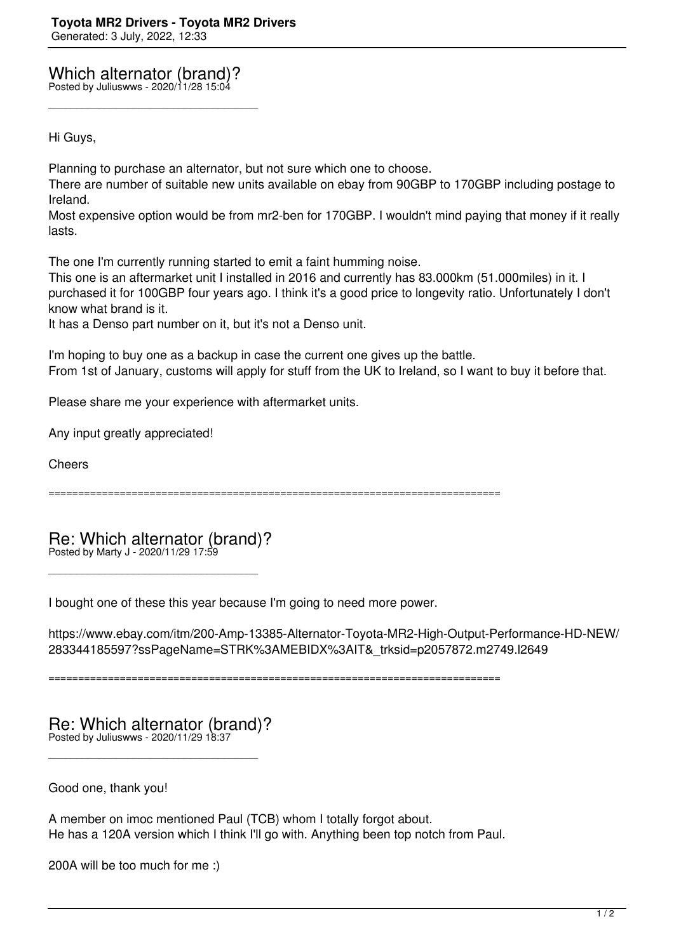Which alternator (brand)? Posted by Juliuswws - 2020/11/28 15:04

\_\_\_\_\_\_\_\_\_\_\_\_\_\_\_\_\_\_\_\_\_\_\_\_\_\_\_\_\_\_\_\_\_\_\_\_\_

Hi Guys,

Planning to purchase an alternator, but not sure which one to choose.

There are number of suitable new units available on ebay from 90GBP to 170GBP including postage to Ireland.

Most expensive option would be from mr2-ben for 170GBP. I wouldn't mind paying that money if it really lasts.

The one I'm currently running started to emit a faint humming noise.

This one is an aftermarket unit I installed in 2016 and currently has 83.000km (51.000miles) in it. I purchased it for 100GBP four years ago. I think it's a good price to longevity ratio. Unfortunately I don't know what brand is it.

It has a Denso part number on it, but it's not a Denso unit.

I'm hoping to buy one as a backup in case the current one gives up the battle. From 1st of January, customs will apply for stuff from the UK to Ireland, so I want to buy it before that.

Please share me your experience with aftermarket units.

Any input greatly appreciated!

**Cheers** 

============================================================================

Re: Which alternator (brand)? Posted by Marty J - 2020/11/29 17:59

\_\_\_\_\_\_\_\_\_\_\_\_\_\_\_\_\_\_\_\_\_\_\_\_\_\_\_\_\_\_\_\_\_\_\_\_\_

I bought one of these this year because I'm going to need more power.

https://www.ebay.com/itm/200-Amp-13385-Alternator-Toyota-MR2-High-Output-Performance-HD-NEW/ 283344185597?ssPageName=STRK%3AMEBIDX%3AIT&\_trksid=p2057872.m2749.l2649

============================================================================

Re: Which alternator (brand)? Posted by Juliuswws - 2020/11/29 18:37

\_\_\_\_\_\_\_\_\_\_\_\_\_\_\_\_\_\_\_\_\_\_\_\_\_\_\_\_\_\_\_\_\_\_\_\_\_

Good one, thank you!

A member on imoc mentioned Paul (TCB) whom I totally forgot about. He has a 120A version which I think I'll go with. Anything been top notch from Paul.

200A will be too much for me :)